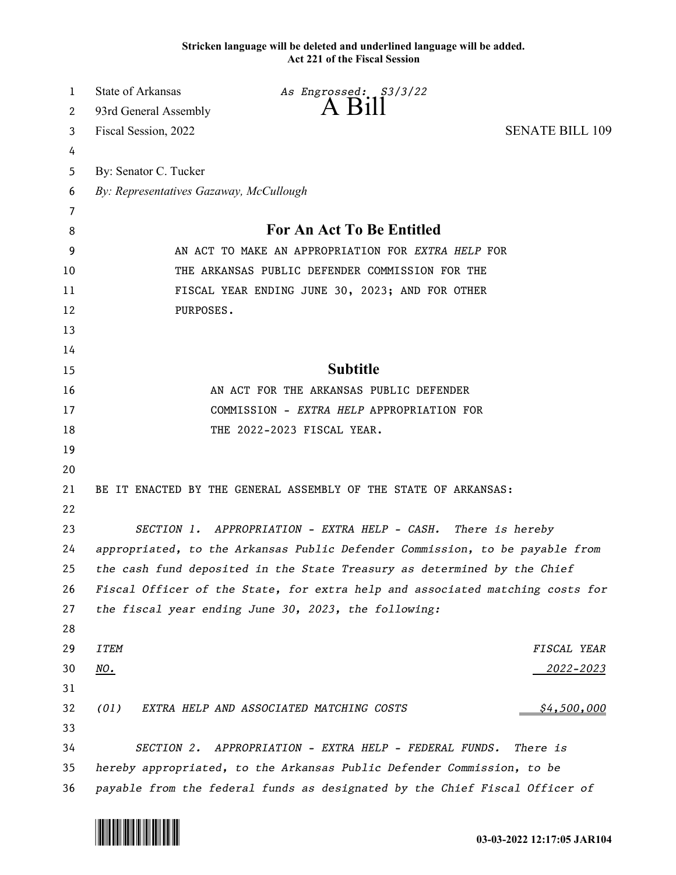**Stricken language will be deleted and underlined language will be added. Act 221 of the Fiscal Session**

| 1  | <b>State of Arkansas</b>                                                      | As Engrossed: \$3/3/22<br>$A$ Bill                      |                        |  |
|----|-------------------------------------------------------------------------------|---------------------------------------------------------|------------------------|--|
| 2  | 93rd General Assembly                                                         |                                                         |                        |  |
| 3  | Fiscal Session, 2022                                                          |                                                         | <b>SENATE BILL 109</b> |  |
| 4  |                                                                               |                                                         |                        |  |
| 5  | By: Senator C. Tucker                                                         |                                                         |                        |  |
| 6  | By: Representatives Gazaway, McCullough                                       |                                                         |                        |  |
| 7  |                                                                               |                                                         |                        |  |
| 8  | For An Act To Be Entitled                                                     |                                                         |                        |  |
| 9  | AN ACT TO MAKE AN APPROPRIATION FOR EXTRA HELP FOR                            |                                                         |                        |  |
| 10 | THE ARKANSAS PUBLIC DEFENDER COMMISSION FOR THE                               |                                                         |                        |  |
| 11 | FISCAL YEAR ENDING JUNE 30, 2023; AND FOR OTHER                               |                                                         |                        |  |
| 12 | PURPOSES.                                                                     |                                                         |                        |  |
| 13 |                                                                               |                                                         |                        |  |
| 14 |                                                                               |                                                         |                        |  |
| 15 |                                                                               | <b>Subtitle</b>                                         |                        |  |
| 16 | AN ACT FOR THE ARKANSAS PUBLIC DEFENDER                                       |                                                         |                        |  |
| 17 |                                                                               | COMMISSION - EXTRA HELP APPROPRIATION FOR               |                        |  |
| 18 |                                                                               | THE 2022-2023 FISCAL YEAR.                              |                        |  |
| 19 |                                                                               |                                                         |                        |  |
| 20 |                                                                               |                                                         |                        |  |
| 21 | BE IT ENACTED BY THE GENERAL ASSEMBLY OF THE STATE OF ARKANSAS:               |                                                         |                        |  |
| 22 |                                                                               |                                                         |                        |  |
| 23 | SECTION 1. APPROPRIATION - EXTRA HELP - CASH. There is hereby                 |                                                         |                        |  |
| 24 | appropriated, to the Arkansas Public Defender Commission, to be payable from  |                                                         |                        |  |
| 25 | the cash fund deposited in the State Treasury as determined by the Chief      |                                                         |                        |  |
| 26 | Fiscal Officer of the State, for extra help and associated matching costs for |                                                         |                        |  |
| 27 |                                                                               | the fiscal year ending June 30, 2023, the following:    |                        |  |
| 28 |                                                                               |                                                         |                        |  |
| 29 | <b>ITEM</b>                                                                   |                                                         | FISCAL YEAR            |  |
| 30 | <u>NO.</u>                                                                    |                                                         | <u> 2022–2023</u>      |  |
| 31 |                                                                               |                                                         |                        |  |
| 32 | (01)                                                                          | EXTRA HELP AND ASSOCIATED MATCHING COSTS                | \$4,500,000            |  |
| 33 |                                                                               |                                                         |                        |  |
| 34 | <i>SECTION 2.</i>                                                             | APPROPRIATION - EXTRA HELP - FEDERAL FUNDS.<br>There is |                        |  |
| 35 | hereby appropriated, to the Arkansas Public Defender Commission, to be        |                                                         |                        |  |
| 36 | payable from the federal funds as designated by the Chief Fiscal Officer of   |                                                         |                        |  |

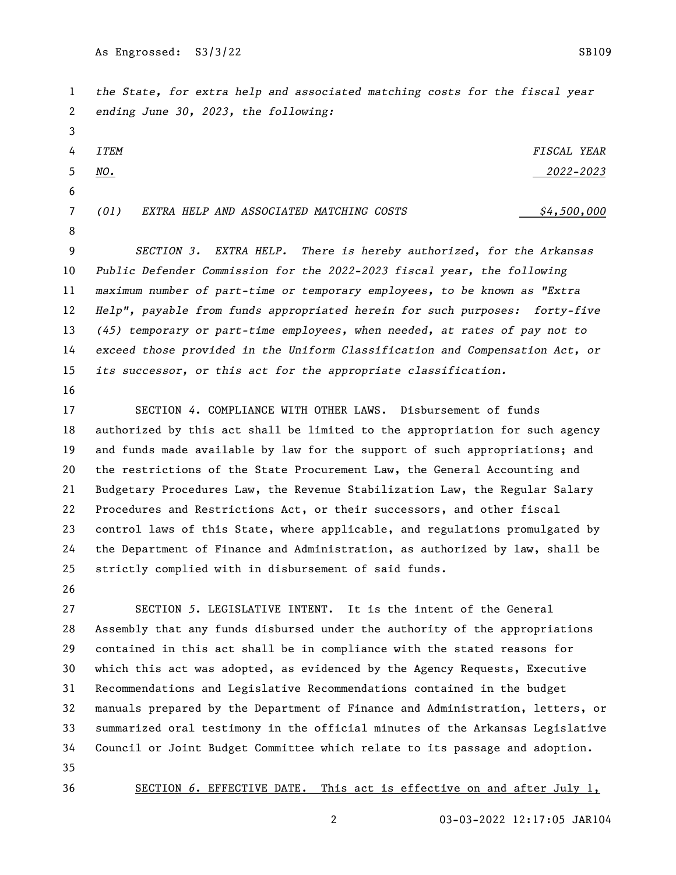*the State, for extra help and associated matching costs for the fiscal year ending June 30, 2023, the following: ITEM FISCAL YEAR NO. 2022-2023 (01)* EXTRA HELP AND ASSOCIATED MATCHING COSTS  $\frac{64,500,000}{2}$  *SECTION 3. EXTRA HELP. There is hereby authorized, for the Arkansas Public Defender Commission for the 2022-2023 fiscal year, the following maximum number of part-time or temporary employees, to be known as "Extra Help", payable from funds appropriated herein for such purposes: forty-five (45) temporary or part-time employees, when needed, at rates of pay not to exceed those provided in the Uniform Classification and Compensation Act, or its successor, or this act for the appropriate classification.* 

 SECTION *4*. COMPLIANCE WITH OTHER LAWS. Disbursement of funds authorized by this act shall be limited to the appropriation for such agency and funds made available by law for the support of such appropriations; and the restrictions of the State Procurement Law, the General Accounting and Budgetary Procedures Law, the Revenue Stabilization Law, the Regular Salary Procedures and Restrictions Act, or their successors, and other fiscal control laws of this State, where applicable, and regulations promulgated by the Department of Finance and Administration, as authorized by law, shall be strictly complied with in disbursement of said funds.

 SECTION *5*. LEGISLATIVE INTENT. It is the intent of the General Assembly that any funds disbursed under the authority of the appropriations contained in this act shall be in compliance with the stated reasons for which this act was adopted, as evidenced by the Agency Requests, Executive Recommendations and Legislative Recommendations contained in the budget manuals prepared by the Department of Finance and Administration, letters, or summarized oral testimony in the official minutes of the Arkansas Legislative Council or Joint Budget Committee which relate to its passage and adoption. 

SECTION *6*. EFFECTIVE DATE. This act is effective on and after July 1,